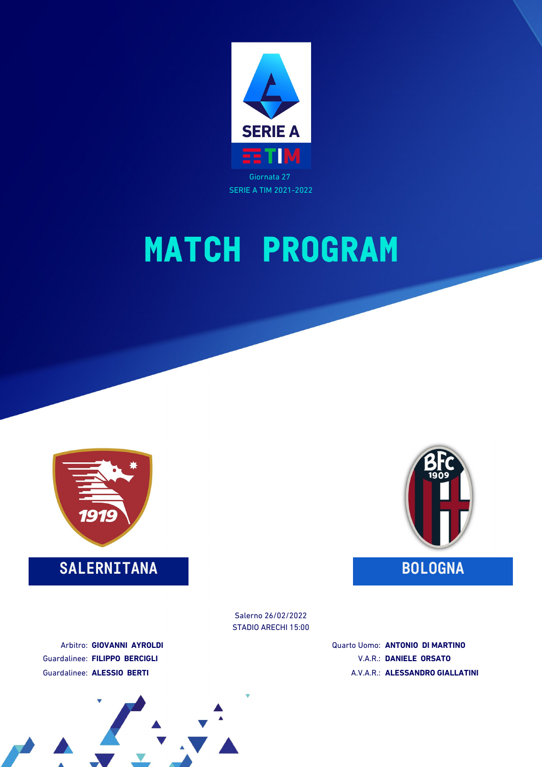



### **SALERNITANA BOLOGNA**



STADIO ARECHI 15:00 Salerno 26/02/2022

Arbitro: **GIOVANNI AYROLDI** Guardalinee: **FILIPPO BERCIGLI** Guardalinee: **ALESSIO BERTI**

Quarto Uomo: **ANTONIO DI MARTINO** V.A.R.: **DANIELE ORSATO** A.V.A.R.: **ALESSANDRO GIALLATINI**

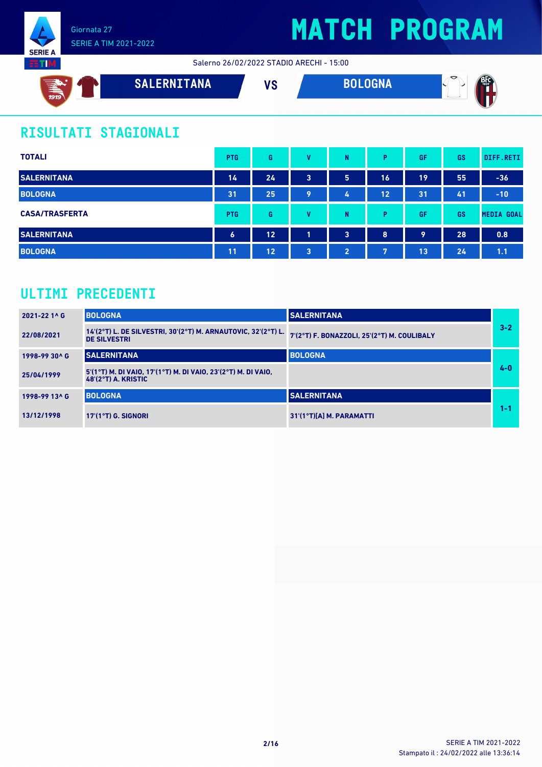

Salerno 26/02/2022 STADIO ARECHI - 15:00



### **RISULTATI STAGIONALI**

| <b>TOTALI</b>         | <b>PTG</b>       | G  | v            | N                       | P  | GF | GS | DIFF.RETI         |
|-----------------------|------------------|----|--------------|-------------------------|----|----|----|-------------------|
| <b>SALERNITANA</b>    | 14               | 24 | 3            | 5                       | 16 | 19 | 55 | $-36$             |
| <b>BOLOGNA</b>        | 31               | 25 | 9            | 4                       | 12 | 31 | 41 | $-10$             |
| <b>CASA/TRASFERTA</b> | <b>PTG</b>       | G  | v            | N                       | P  | GF | GS | <b>MEDIA GOAL</b> |
| <b>SALERNITANA</b>    | $\boldsymbol{6}$ | 12 | 1            | $\overline{\mathbf{3}}$ | 8  | 9  | 28 | 0.8               |
| <b>BOLOGNA</b>        | 11               | 12 | $\mathbf{3}$ | $\overline{2}$          | 7  | 13 | 24 | 1.1               |

### **ULTIMI PRECEDENTI**

| 2021-22 1^ G  | <b>BOLOGNA</b>                                                                         | <b>SALERNITANA</b>                          |         |
|---------------|----------------------------------------------------------------------------------------|---------------------------------------------|---------|
| 22/08/2021    | 14'(2°T) L. DE SILVESTRI, 30'(2°T) M. ARNAUTOVIC, 32'(2°T) L.<br><b>DE SILVESTRI</b>   | 7'(2°T) F. BONAZZOLI, 25'(2°T) M. COULIBALY | $3 - 2$ |
| 1998-99 30^ G | <b>SALERNITANA</b>                                                                     | <b>BOLOGNA</b>                              |         |
| 25/04/1999    | 5'(1°T) M. DI VAIO, 17'(1°T) M. DI VAIO, 23'(2°T) M. DI VAIO,<br>$48'(2°T)$ A. KRISTIC |                                             | $4 - 0$ |
| 1998-99 13^ G | <b>BOLOGNA</b>                                                                         | <b>SALERNITANA</b>                          |         |
| 13/12/1998    | $17'(1°T)$ G. SIGNORI                                                                  | $31'(1°T)[A]$ M. PARAMATTI                  | 1-1     |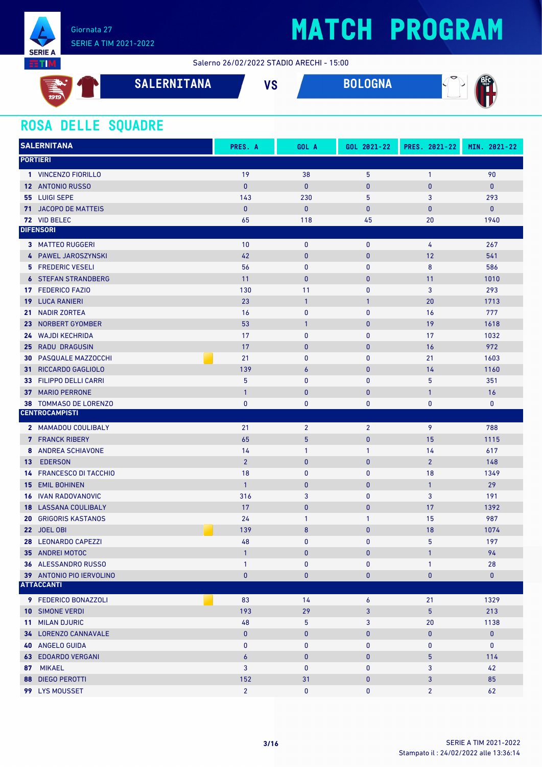

Salerno 26/02/2022 STADIO ARECHI - 15:00

| __<br>$\blacktriangleright$<br>ఆ<br>1919 | SALERNITANA | $\mathbf{u}$<br>70. | <b>OGNA</b> | $\triangleright$<br>ை<br>эτι |
|------------------------------------------|-------------|---------------------|-------------|------------------------------|
|                                          |             |                     |             |                              |

### **ROSA DELLE SQUADRE**

|     | <b>SALERNITANA</b>                            | PRES. A        | GOL A            | GOL 2021-22    | PRES. 2021-22  | MIN. 2021-22 |
|-----|-----------------------------------------------|----------------|------------------|----------------|----------------|--------------|
|     | <b>PORTIERI</b>                               |                |                  |                |                |              |
|     | 1 VINCENZO FIORILLO                           | 19             | 38               | 5              | $\mathbf{1}$   | 90           |
|     | 12 ANTONIO RUSSO                              | $\mathbf{0}$   | $\mathbf{0}$     | $\mathbf{0}$   | $\bf{0}$       | $\mathbf{0}$ |
|     | 55 LUIGI SEPE                                 | 143            | 230              | 5              | 3              | 293          |
|     | 71 JACOPO DE MATTEIS                          | $\mathbf{0}$   | $\mathbf{0}$     | $\bf{0}$       | 0              | $\mathbf{0}$ |
|     | 72 VID BELEC                                  | 65             | 118              | 45             | 20             | 1940         |
|     | <b>DIFENSORI</b>                              |                |                  |                |                |              |
|     | <b>3 MATTEO RUGGERI</b>                       | 10             | $\mathbf 0$      | $\mathbf{0}$   | 4              | 267          |
|     | 4 PAWEL JAROSZYNSKI                           | 42             | $\mathbf{0}$     | $\pmb{0}$      | 12             | 541          |
|     | <b>5 FREDERIC VESELI</b>                      | 56             | $\pmb{0}$        | 0              | $\bf 8$        | 586          |
|     | <b>6 STEFAN STRANDBERG</b>                    | 11             | $\mathbf{0}$     | $\bf{0}$       | 11             | 1010         |
|     | 17 FEDERICO FAZIO                             | 130            | 11               | $\mathbf{0}$   | 3              | 293          |
|     | <b>19 LUCA RANIERI</b>                        | 23             | $\mathbf{1}$     | $\mathbf{1}$   | 20             | 1713         |
| 21. | <b>NADIR ZORTEA</b>                           | 16             | $\pmb{0}$        | $\mathbf{0}$   | 16             | 777          |
|     | 23 NORBERT GYOMBER                            | 53             | $\mathbf{1}$     | $\pmb{0}$      | 19             | 1618         |
|     | 24 WAJDI KECHRIDA                             | 17             | $\pmb{0}$        | $\mathbf{0}$   | 17             | 1032         |
|     | 25 RADU DRAGUSIN                              | 17             | $\pmb{0}$        | $\mathbf{0}$   | 16             | 972          |
|     | <b>30 PASQUALE MAZZOCCHI</b>                  | 21             | $\bf{0}$         | $\mathbf{0}$   | 21             | 1603         |
| 31. | RICCARDO GAGLIOLO                             | 139            | $\boldsymbol{6}$ | $\mathbf{0}$   | 14             | 1160         |
|     | 33 FILIPPO DELLI CARRI                        | 5              | $\pmb{0}$        | $\mathbf{0}$   | 5              | 351          |
| 37  | <b>MARIO PERRONE</b>                          | $\overline{1}$ | $\pmb{0}$        | $\pmb{0}$      | $\mathbf{1}$   | 16           |
|     | 38 TOMMASO DE LORENZO                         | $\pmb{0}$      | $\bf{0}$         | 0              | 0              | 0            |
|     | <b>CENTROCAMPISTI</b>                         |                |                  |                |                |              |
|     | 2 MAMADOU COULIBALY                           | 21             | $\overline{2}$   | $\overline{2}$ | 9              | 788          |
|     | <b>7</b> FRANCK RIBERY                        | 65             | $5\phantom{.}$   | $\pmb{0}$      | 15             | 1115         |
|     | 8 ANDREA SCHIAVONE                            | 14             | $\mathbf{1}$     | $\mathbf{1}$   | 14             | 617          |
| 13  | <b>EDERSON</b>                                | $\overline{2}$ | $\mathbf{0}$     | $\mathbf{0}$   | $\overline{2}$ | 148          |
| 14  | <b>FRANCESCO DI TACCHIO</b>                   | 18             | $\bf{0}$         | $\mathbf{0}$   | 18             | 1349         |
|     | <b>15 EMIL BOHINEN</b>                        | $\mathbf{1}$   | $\pmb{0}$        | $\pmb{0}$      | $\mathbf{1}$   | 29           |
|     | <b>16 IVAN RADOVANOVIC</b>                    | 316            | 3                | $\mathbf{0}$   | 3              | 191          |
|     | <b>18 LASSANA COULIBALY</b>                   | 17             | $\mathbf{0}$     | $\pmb{0}$      | 17             | 1392         |
| 20  | <b>GRIGORIS KASTANOS</b>                      | 24             | $\mathbf{1}$     | 1              | 15             | 987          |
|     | 22 JOEL OBI                                   | 139            | 8                | 0              | 18             | 1074         |
|     | 28 LEONARDO CAPEZZI                           | 48             | $\mathbf{0}$     | $\mathbf{0}$   | 5              | 197          |
|     | 35 ANDREI MOTOC                               | $\mathbf{1}$   | $\mathbf{0}$     | $\mathbf{0}$   | $\mathbf{1}$   | 94           |
|     | <b>36 ALESSANDRO RUSSO</b>                    | $\mathbf{1}$   | $\mathbf 0$      | 0              | $\mathbf{1}$   | 28           |
|     | 39 ANTONIO PIO IERVOLINO<br><b>ATTACCANTI</b> | $\mathbf{0}$   | $\bf{0}$         | 0              | 0              | $\mathbf 0$  |
|     |                                               |                |                  |                |                |              |
|     | 9 FEDERICO BONAZZOLI                          | 83             | 14               | 6              | 21             | 1329         |
|     | <b>10 SIMONE VERDI</b>                        | 193            | 29               | $\mathbf{3}$   | 5              | 213          |
|     | 11 MILAN DJURIC                               | 48             | $5\phantom{.0}$  | 3              | 20             | 1138         |
|     | 34 LORENZO CANNAVALE                          | $\bf{0}$       | $\pmb{0}$        | 0              | $\pmb{0}$      | $\pmb{0}$    |
|     | <b>40 ANGELO GUIDA</b>                        | $\mathbf 0$    | $\mathbf 0$      | $\mathbf 0$    | 0              | $\mathbf 0$  |
|     | <b>63 EDOARDO VERGANI</b>                     | 6              | $\pmb{0}$        | $\mathbf{0}$   | 5              | 114          |
|     | 87 MIKAEL                                     | 3              | $\mathbf 0$      | 0              | 3              | 42           |
|     | <b>88 DIEGO PEROTTI</b>                       | 152            | 31               | $\bf{0}$       | 3              | 85           |
|     | 99 LYS MOUSSET                                | $2^{\circ}$    | $\mathbf 0$      | $\mathbf{0}$   | $\overline{2}$ | 62           |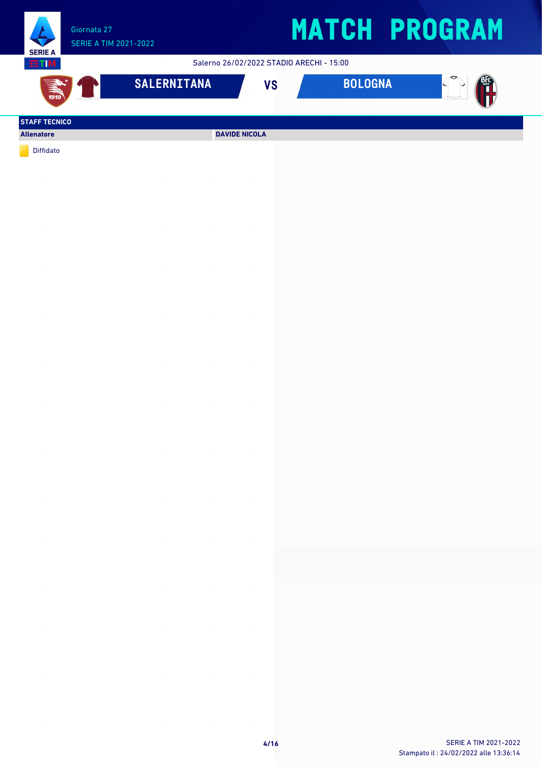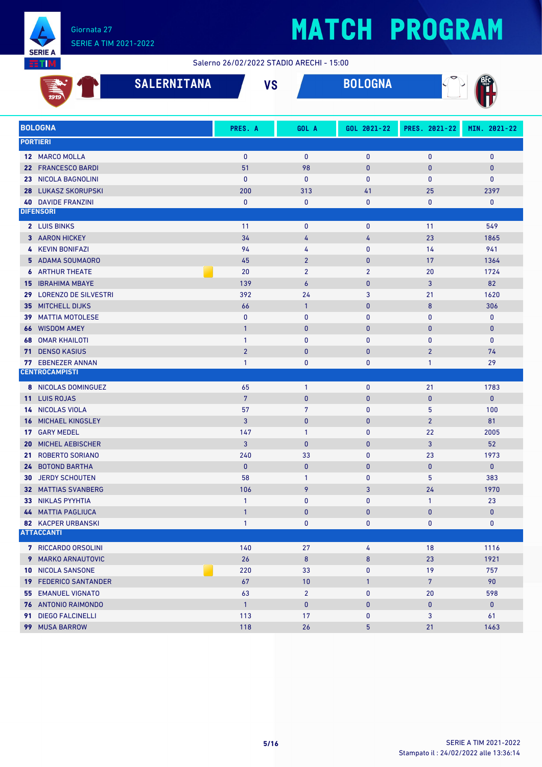

#### Salerno 26/02/2022 STADIO ARECHI - 15:00

|                 | 1919                                                   | <b>SALERNITANA</b> | <b>VS</b>                    |                       | <b>BOLOGNA</b> |                              |                             |
|-----------------|--------------------------------------------------------|--------------------|------------------------------|-----------------------|----------------|------------------------------|-----------------------------|
|                 | <b>BOLOGNA</b>                                         |                    | PRES. A                      | GOL A                 | GOL 2021-22    | PRES. 2021-22                | MIN. 2021-22                |
|                 | <b>PORTIERI</b>                                        |                    |                              |                       |                |                              |                             |
|                 |                                                        |                    |                              |                       |                |                              |                             |
|                 | 12 MARCO MOLLA<br>22 FRANCESCO BARDI                   |                    | $\mathbf{0}$<br>51           | $\mathbf{0}$<br>98    | 0<br>$\pmb{0}$ | $\mathbf{0}$<br>$\mathbf{0}$ | $\mathbf 0$<br>$\mathbf{0}$ |
| 23              | <b>NICOLA BAGNOLINI</b>                                |                    | $\mathbf{0}$                 | $\mathbf{0}$          | $\mathbf{0}$   | $\mathbf{0}$                 | $\pmb{0}$                   |
| 28              | <b>LUKASZ SKORUPSKI</b>                                |                    | 200                          | 313                   | 41             | 25                           | 2397                        |
|                 | <b>40 DAVIDE FRANZINI</b>                              |                    | $\pmb{0}$                    | $\pmb{0}$             | $\mathbf 0$    | $\mathbf 0$                  | $\mathbf 0$                 |
|                 | <b>DIFENSORI</b>                                       |                    |                              |                       |                |                              |                             |
|                 | 2 LUIS BINKS                                           |                    | 11                           | $\bf{0}$              | $\mathbf 0$    | 11                           | 549                         |
|                 | 3 AARON HICKEY                                         |                    | 34                           | 4                     | 4              | 23                           | 1865                        |
| 4               | <b>KEVIN BONIFAZI</b>                                  |                    | 94                           | 4                     | 0              | 14                           | 941                         |
|                 | 5 ADAMA SOUMAORO                                       |                    | 45                           | $\overline{2}$        | $\pmb{0}$      | 17                           | 1364                        |
|                 | <b>6 ARTHUR THEATE</b>                                 |                    | 20                           | $\overline{2}$        | $\overline{2}$ | 20                           | 1724                        |
|                 | <b>15 IBRAHIMA MBAYE</b>                               |                    | 139                          | $\overline{6}$        | $\pmb{0}$      | 3                            | 82                          |
|                 | 29 LORENZO DE SILVESTRI                                |                    | 392                          | 24                    | 3              | 21                           | 1620                        |
| 35 <sub>1</sub> | <b>MITCHELL DIJKS</b>                                  |                    | 66                           | $\mathbf{1}$          | $\pmb{0}$      | 8                            | 306                         |
| 39              | <b>MATTIA MOTOLESE</b>                                 |                    | $\mathbf{0}$                 | $\mathbf{0}$          | $\pmb{0}$      | 0                            | $\mathbf 0$                 |
| 66              | <b>WISDOM AMEY</b>                                     |                    | $\overline{1}$               | $\mathbf{0}$          | $\pmb{0}$      | $\bf{0}$                     | $\mathbf{0}$                |
| 68              | <b>OMAR KHAILOTI</b>                                   |                    | $\mathbf{1}$                 | $\mathbf{0}$          | 0              | $\mathbf{0}$                 | $\mathbf 0$                 |
| 71              | <b>DENSO KASIUS</b>                                    |                    | $\overline{2}$               | $\mathbf{0}$          | $\pmb{0}$      | $\overline{2}$               | 74                          |
| 77              | <b>EBENEZER ANNAN</b>                                  |                    | $\mathbf{1}$                 | 0                     | $\mathbf 0$    | $\mathbf{1}$                 | 29                          |
|                 | <b>CENTROCAMPISTI</b>                                  |                    |                              |                       |                |                              |                             |
|                 | 8 NICOLAS DOMINGUEZ                                    |                    | 65                           | $\mathbf{1}$          | 0              | 21                           | 1783                        |
|                 | 11 LUIS ROJAS                                          |                    | $7\phantom{.0}$              | $\mathbf{0}$          | $\pmb{0}$      | $\mathbf{0}$                 | $\mathbf{0}$                |
| 14              | NICOLAS VIOLA                                          |                    | 57                           | $\overline{7}$        | 0              | 5                            | 100                         |
| 16              | MICHAEL KINGSLEY                                       |                    | $\overline{3}$               | $\mathbf{0}$          | $\pmb{0}$      | $\overline{2}$               | 81                          |
|                 | 17 GARY MEDEL                                          |                    | 147                          | $\mathbf{1}$          | 0              | 22                           | 2005                        |
| 20              | <b>MICHEL AEBISCHER</b>                                |                    | $\overline{3}$               | $\mathbf{0}$          | $\pmb{0}$      | 3                            | 52                          |
| 21              | <b>ROBERTO SORIANO</b>                                 |                    | 240                          | 33                    | $\pmb{0}$      | 23                           | 1973                        |
| 24              | <b>BOTOND BARTHA</b>                                   |                    | $\mathbf{0}$                 | $\pmb{0}$             | $\pmb{0}$      | $\mathbf{0}$                 | $\mathbf{0}$                |
|                 | <b>30 JERDY SCHOUTEN</b>                               |                    | 58                           | $\mathbf{1}$          | $\mathbf{0}$   | 5                            | 383                         |
|                 | <b>32 MATTIAS SVANBERG</b>                             |                    | 106                          | 9                     | 3              | 24                           | 1970                        |
|                 | 33 NIKLAS PYYHTIA                                      |                    | $\mathbf{1}$                 | $\bf{0}$              | 0              | $\mathbf{1}$                 | 23                          |
|                 | <b>44 MATTIA PAGLIUCA</b><br><b>82 KACPER URBANSKI</b> |                    | $\mathbf{1}$<br>$\mathbf{1}$ | $\pmb{0}$<br>$\bf{0}$ | $\bf{0}$<br>0  | $\mathbf{0}$<br>0            | $\bf{0}$<br>0               |
|                 | <b>ATTACCANTI</b>                                      |                    |                              |                       |                |                              |                             |
|                 |                                                        |                    |                              |                       |                |                              |                             |
|                 | 7 RICCARDO ORSOLINI<br>9 MARKO ARNAUTOVIC              |                    | 140<br>26                    | 27<br>$\bf 8$         | 4              | 18<br>23                     | 1116                        |
|                 | <b>10 NICOLA SANSONE</b>                               |                    | 220                          | 33                    | $\bf 8$<br>0   | 19                           | 1921<br>757                 |
|                 | <b>19 FEDERICO SANTANDER</b>                           |                    | 67                           | 10                    | $\mathbf{1}$   | $\overline{7}$               | 90                          |
| 55              | <b>EMANUEL VIGNATO</b>                                 |                    | 63                           | $\overline{2}$        | 0              | 20                           | 598                         |
|                 | 76 ANTONIO RAIMONDO                                    |                    | $\mathbf{1}$                 | $\pmb{0}$             | $\bf{0}$       | $\bf{0}$                     | $\bf{0}$                    |
|                 | 91 DIEGO FALCINELLI                                    |                    | 113                          | 17                    | 0              | 3                            | 61                          |
|                 | 99 MUSA BARROW                                         |                    | 118                          | 26                    | 5              | 21                           | 1463                        |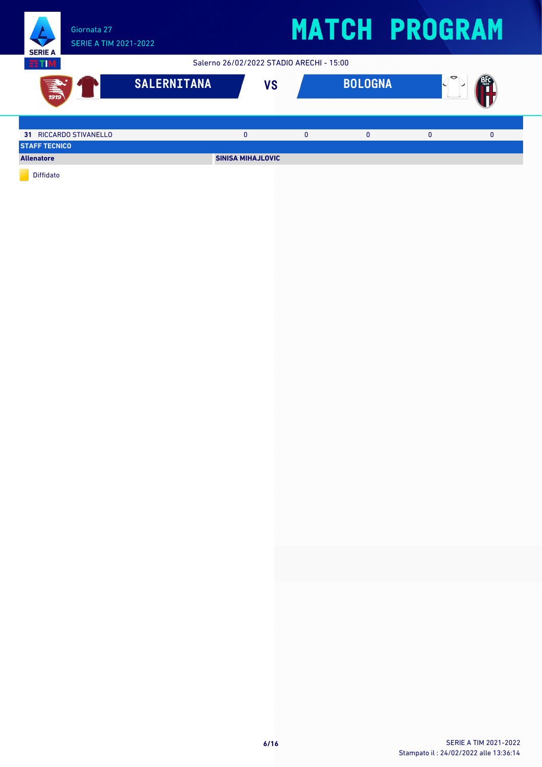

Salerno 26/02/2022 STADIO ARECHI - 15:00



Diffidato

**EETIM**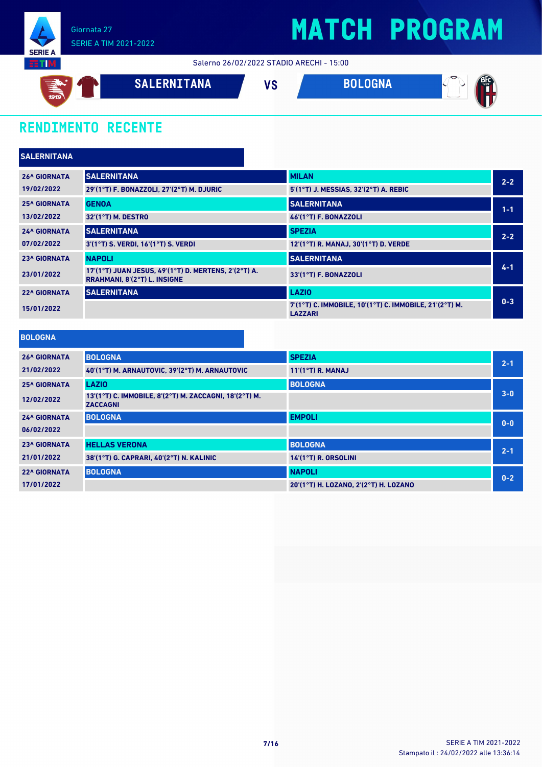

Salerno 26/02/2022 STADIO ARECHI - 15:00



### **RENDIMENTO RECENTE**

| <b>SALERNITANA</b>  |                                                                                      |                                                                          |         |
|---------------------|--------------------------------------------------------------------------------------|--------------------------------------------------------------------------|---------|
| <b>26^ GIORNATA</b> | <b>SALERNITANA</b>                                                                   | <b>MILAN</b>                                                             | $2 - 2$ |
| 19/02/2022          | 29'(1°T) F. BONAZZOLI, 27'(2°T) M. DJURIC                                            | 5'(1°T) J. MESSIAS, 32'(2°T) A. REBIC                                    |         |
| <b>25^ GIORNATA</b> | <b>GENOA</b>                                                                         | <b>SALERNITANA</b>                                                       | $1 - 1$ |
| 13/02/2022          | 32'(1°T) M. DESTRO                                                                   | 46'(1°T) F. BONAZZOLI                                                    |         |
| <b>24^ GIORNATA</b> | <b>SALERNITANA</b>                                                                   | <b>SPEZIA</b>                                                            | $2 - 2$ |
| 07/02/2022          | 3'(1°T) S. VERDI, 16'(1°T) S. VERDI                                                  | 12'(1°T) R. MANAJ, 30'(1°T) D. VERDE                                     |         |
| <b>23^ GIORNATA</b> | <b>NAPOLI</b>                                                                        | <b>SALERNITANA</b>                                                       |         |
| 23/01/2022          | 17'(1°T) JUAN JESUS, 49'(1°T) D. MERTENS, 2'(2°T) A.<br>RRAHMANI, 8'(2°T) L. INSIGNE | 33'(1°T) F. BONAZZOLI                                                    | $4 - 1$ |
| <b>22^ GIORNATA</b> | <b>SALERNITANA</b>                                                                   | <b>LAZIO</b>                                                             |         |
| 15/01/2022          |                                                                                      | 7'(1°T) C. IMMOBILE, 10'(1°T) C. IMMOBILE, 21'(2°T) M.<br><b>LAZZARI</b> | $0 - 3$ |

| <b>BOLOGNA</b>      |                                                                           |                                       |         |
|---------------------|---------------------------------------------------------------------------|---------------------------------------|---------|
| <b>26^ GIORNATA</b> | <b>BOLOGNA</b>                                                            | <b>SPEZIA</b>                         | $2 - 1$ |
| 21/02/2022          | 40'(1°T) M. ARNAUTOVIC, 39'(2°T) M. ARNAUTOVIC                            | $11'(1°T)$ R. MANAJ                   |         |
| <b>25^ GIORNATA</b> | <b>LAZIO</b>                                                              | <b>BOLOGNA</b>                        |         |
| 12/02/2022          | 13'(1°T) C. IMMOBILE, 8'(2°T) M. ZACCAGNI, 18'(2°T) M.<br><b>ZACCAGNI</b> |                                       | $3-0$   |
| <b>24^ GIORNATA</b> | <b>BOLOGNA</b>                                                            | <b>EMPOLI</b>                         | $0-0$   |
| 06/02/2022          |                                                                           |                                       |         |
| <b>23^ GIORNATA</b> | <b>HELLAS VERONA</b>                                                      | <b>BOLOGNA</b>                        | $2 - 1$ |
| 21/01/2022          | 38'(1°T) G. CAPRARI, 40'(2°T) N. KALINIC                                  | $14'(1°T)$ R. ORSOLINI                |         |
| <b>22^ GIORNATA</b> | <b>BOLOGNA</b>                                                            | <b>NAPOLI</b>                         | $0 - 2$ |
| 17/01/2022          |                                                                           | 20'(1°T) H. LOZANO, 2'(2°T) H. LOZANO |         |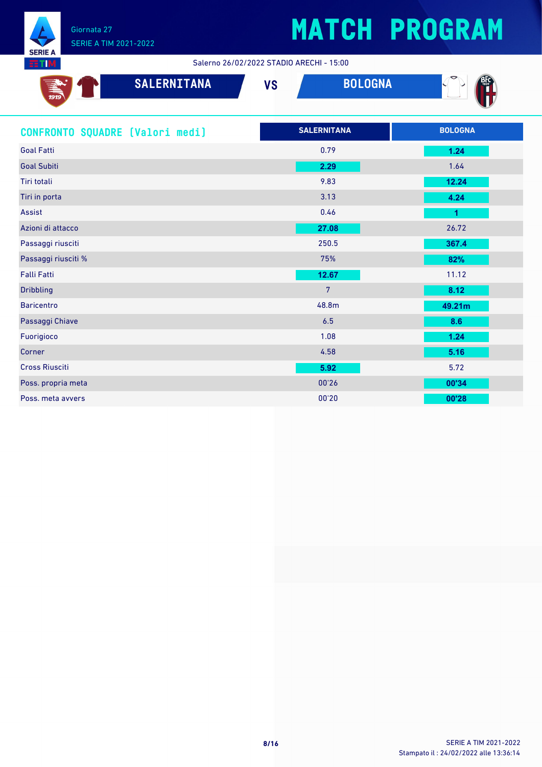

Salerno 26/02/2022 STADIO ARECHI - 15:00

| <b>SALERNITANA</b><br>$\frac{1}{1919}$ | <b>VS</b>          | <b>BOLOGNA</b> |                |
|----------------------------------------|--------------------|----------------|----------------|
| CONFRONTO SQUADRE [Valori medi]        | <b>SALERNITANA</b> |                | <b>BOLOGNA</b> |
| <b>Goal Fatti</b>                      | 0.79               |                | 1.24           |
| <b>Goal Subiti</b>                     | 2.29               |                | 1.64           |
| Tiri totali                            | 9.83               |                | 12.24          |
| Tiri in porta                          | 3.13               |                | 4.24           |
| Assist                                 | 0.46               |                | 1              |
| Azioni di attacco                      | 27.08              |                | 26.72          |
| Passaggi riusciti                      | 250.5              |                | 367.4          |
| Passaggi riusciti %                    | 75%                |                | 82%            |
| Falli Fatti                            | 12.67              |                | 11.12          |
| <b>Dribbling</b>                       | $\overline{7}$     |                | 8.12           |
| <b>Baricentro</b>                      | 48.8m              |                | 49.21m         |
| Passaggi Chiave                        | 6.5                |                | 8.6            |
| Fuorigioco                             | 1.08               |                | 1.24           |
| Corner                                 | 4.58               |                | 5.16           |
| <b>Cross Riusciti</b>                  | 5.92               |                | 5.72           |
| Poss. propria meta                     | 00'26              |                | 00'34          |
| Poss. meta avvers                      | 00'20              |                | 00'28          |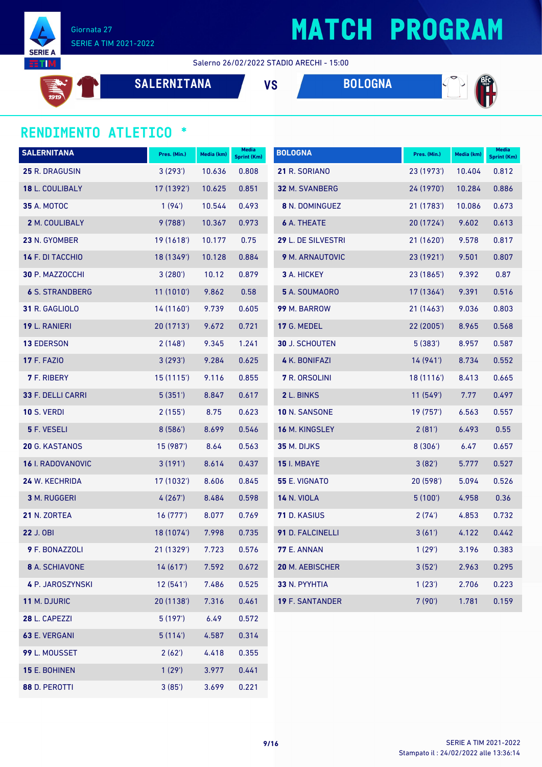

#### Salerno 26/02/2022 STADIO ARECHI - 15:00



**SERIE A EETIM** 

**SALERNITANA VS BOLOGNA**



#### **RENDIMENTO ATLETICO \***

| <b>SALERNITANA</b>       | Pres. (Min.) | Media (km) | <b>Media</b><br><b>Sprint (Km)</b> | <b>BOLOGNA</b>         | Pres. (Min.) | Media (km) | <b>Media</b><br>Sprint (Km) |
|--------------------------|--------------|------------|------------------------------------|------------------------|--------------|------------|-----------------------------|
| 25 R. DRAGUSIN           | 3(293)       | 10.636     | 0.808                              | 21 R. SORIANO          | 23 (1973')   | 10.404     | 0.812                       |
| 18 L. COULIBALY          | 17 (1392')   | 10.625     | 0.851                              | 32 M. SVANBERG         | 24 (1970')   | 10.284     | 0.886                       |
| <b>35 A. MOTOC</b>       | 1(94)        | 10.544     | 0.493                              | 8 N. DOMINGUEZ         | 21 (1783')   | 10.086     | 0.673                       |
| 2 M. COULIBALY           | 9(788)       | 10.367     | 0.973                              | <b>6 A. THEATE</b>     | 20(1724)     | 9.602      | 0.613                       |
| 23 N. GYOMBER            | 19 (1618')   | 10.177     | 0.75                               | 29 L. DE SILVESTRI     | 21 (1620')   | 9.578      | 0.817                       |
| 14 F. DI TACCHIO         | 18 (1349')   | 10.128     | 0.884                              | 9 M. ARNAUTOVIC        | 23(1921)     | 9.501      | 0.807                       |
| 30 P. MAZZOCCHI          | 3(280)       | 10.12      | 0.879                              | 3 A. HICKEY            | 23 (1865')   | 9.392      | 0.87                        |
| <b>6 S. STRANDBERG</b>   | 11(1010)     | 9.862      | 0.58                               | 5 A. SOUMAORO          | 17 (1364)    | 9.391      | 0.516                       |
| 31 R. GAGLIOLO           | 14 (1160')   | 9.739      | 0.605                              | 99 M. BARROW           | 21(1463)     | 9.036      | 0.803                       |
| 19 L. RANIERI            | 20 (1713')   | 9.672      | 0.721                              | 17 G. MEDEL            | 22 (2005')   | 8.965      | 0.568                       |
| <b>13 EDERSON</b>        | 2(148)       | 9.345      | 1.241                              | 30 J. SCHOUTEN         | 5(383)       | 8.957      | 0.587                       |
| <b>17 F. FAZIO</b>       | 3(293)       | 9.284      | 0.625                              | <b>4 K. BONIFAZI</b>   | 14(941)      | 8.734      | 0.552                       |
| <b>7</b> F. RIBERY       | 15(1115)     | 9.116      | 0.855                              | 7 R. ORSOLINI          | 18(1116)     | 8.413      | 0.665                       |
| 33 F. DELLI CARRI        | 5(351)       | 8.847      | 0.617                              | 2 L. BINKS             | 11(549)      | 7.77       | 0.497                       |
| <b>10 S. VERDI</b>       | 2(155)       | 8.75       | 0.623                              | 10 N. SANSONE          | 19(757)      | 6.563      | 0.557                       |
| 5 F. VESELI              | 8(586)       | 8.699      | 0.546                              | 16 M. KINGSLEY         | 2(81')       | 6.493      | 0.55                        |
| 20 G. KASTANOS           | 15 (987')    | 8.64       | 0.563                              | 35 M. DIJKS            | 8(306')      | 6.47       | 0.657                       |
| <b>16</b> I. RADOVANOVIC | 3(191)       | 8.614      | 0.437                              | <b>15 I. MBAYE</b>     | 3(82)        | 5.777      | 0.527                       |
| 24 W. KECHRIDA           | 17 (1032')   | 8.606      | 0.845                              | <b>55 E. VIGNATO</b>   | 20(598)      | 5.094      | 0.526                       |
| 3 M. RUGGERI             | 4(267)       | 8.484      | 0.598                              | <b>14 N. VIOLA</b>     | 5(100)       | 4.958      | 0.36                        |
| 21 N. ZORTEA             | 16(777)      | 8.077      | 0.769                              | 71 D. KASIUS           | 2(74)        | 4.853      | 0.732                       |
| 22 J. OBI                | 18 (1074')   | 7.998      | 0.735                              | 91 D. FALCINELLI       | 3(61)        | 4.122      | 0.442                       |
| <b>9</b> F. BONAZZOLI    | 21(1329)     | 7.723      | 0.576                              | <b>77 E. ANNAN</b>     | 1(29)        | 3.196      | 0.383                       |
| <b>8</b> A. SCHIAVONE    | 14(617)      | 7.592      | 0.672                              | 20 M. AEBISCHER        | 3(52')       | 2.963      | 0.295                       |
| 4 P. JAROSZYNSKI         | 12(541)      | 7.486      | 0.525                              | 33 N. PYYHTIA          | 1(23')       | 2.706      | 0.223                       |
| 11 M. DJURIC             | 20 (1138')   | 7.316      | 0.461                              | <b>19 F. SANTANDER</b> | 7(90)        | 1.781      | 0.159                       |
| 28 L. CAPEZZI            | 5(197)       | 6.49       | 0.572                              |                        |              |            |                             |
| 63 E. VERGANI            | 5(114)       | 4.587      | 0.314                              |                        |              |            |                             |
| 99 L. MOUSSET            | 2(62')       | 4.418      | 0.355                              |                        |              |            |                             |
| 15 E. BOHINEN            | 1(29')       | 3.977      | 0.441                              |                        |              |            |                             |

D. PEROTTI 3 (85') 3.699 0.221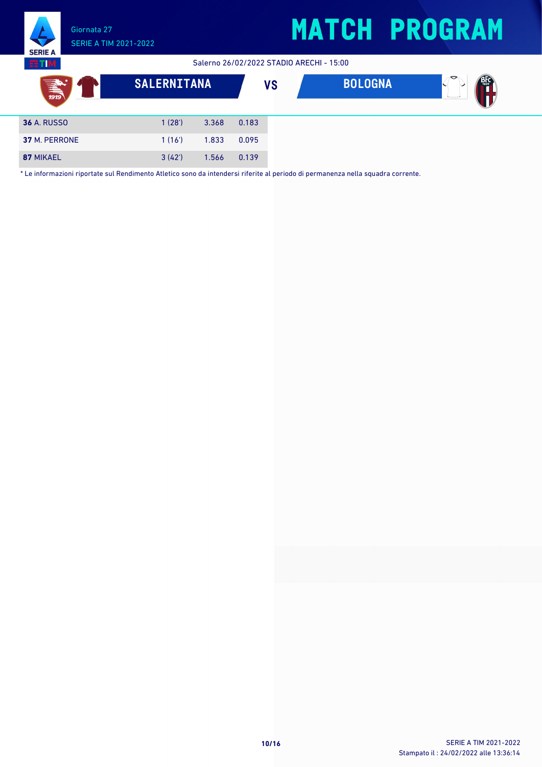**POST** 

SERIE A TIM 2021-2022 **SERIE** Salerno 26/02/2022 STADIO ARECHI - 15:00 **BTIM SALERNITANA VS BOLOGNA**

| <b>36 A. RUSSO</b> | 1(28) | 3.368       | 0.183 |
|--------------------|-------|-------------|-------|
| 37 M. PERRONE      | 1(16) | 1.833 0.095 |       |
| 87 MIKAEL          | 3(42) | 1.566       | 0.139 |

Giornata 27

\* Le informazioni riportate sul Rendimento Atletico sono da intendersi riferite al periodo di permanenza nella squadra corrente.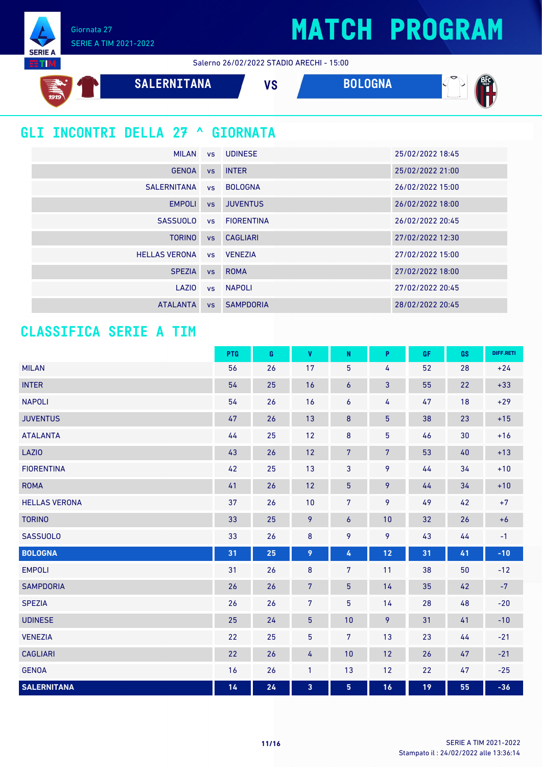Giornata 27 SERIE A TIM 2021-2022

**SERIE A** 





### **GLI INCONTRI DELLA 27 ^ GIORNATA**

| <b>MILAN</b>             |           | vs UDINESE       | 25/02/2022 18:45 |
|--------------------------|-----------|------------------|------------------|
| <b>GENOA</b>             |           | vs INTER         | 25/02/2022 21:00 |
| <b>SALERNITANA</b>       |           | vs BOLOGNA       | 26/02/2022 15:00 |
| <b>EMPOLI</b>            | <b>VS</b> | <b>JUVENTUS</b>  | 26/02/2022 18:00 |
| <b>SASSUOLO</b>          |           | vs FIORENTINA    | 26/02/2022 20:45 |
| <b>TORINO</b>            | VS        | <b>CAGLIARI</b>  | 27/02/2022 12:30 |
| HELLAS VERONA vs VENEZIA |           |                  | 27/02/2022 15:00 |
| <b>SPEZIA</b>            | <b>VS</b> | <b>ROMA</b>      | 27/02/2022 18:00 |
| LAZIO                    |           | vs NAPOLI        | 27/02/2022 20:45 |
| <b>ATALANTA</b>          | VS        | <b>SAMPDORIA</b> | 28/02/2022 20:45 |

### **CLASSIFICA SERIE A TIM**

|                      | PTG | $\mathbf G$ | $\pmb{\mathsf{V}}$ | ${\sf N}$       | P              | GF | GS | DIFF.RETI |
|----------------------|-----|-------------|--------------------|-----------------|----------------|----|----|-----------|
| <b>MILAN</b>         | 56  | 26          | 17                 | $\sqrt{5}$      | 4              | 52 | 28 | $+24$     |
| <b>INTER</b>         | 54  | 25          | 16                 | 6               | $\mathbf{3}$   | 55 | 22 | $+33$     |
| <b>NAPOLI</b>        | 54  | 26          | 16                 | 6               | 4              | 47 | 18 | $+29$     |
| <b>JUVENTUS</b>      | 47  | 26          | 13                 | $\bf 8$         | $\overline{5}$ | 38 | 23 | $+15$     |
| <b>ATALANTA</b>      | 44  | 25          | 12                 | 8               | $\overline{5}$ | 46 | 30 | $+16$     |
| LAZIO                | 43  | 26          | 12                 | $\overline{7}$  | $\overline{7}$ | 53 | 40 | $+13$     |
| <b>FIORENTINA</b>    | 42  | 25          | 13                 | 3               | 9              | 44 | 34 | $+10$     |
| <b>ROMA</b>          | 41  | 26          | 12                 | $5\phantom{.0}$ | 9              | 44 | 34 | $+10$     |
| <b>HELLAS VERONA</b> | 37  | 26          | 10                 | $\overline{7}$  | 9              | 49 | 42 | $+7$      |
| <b>TORINO</b>        | 33  | 25          | 9                  | 6               | 10             | 32 | 26 | $+6$      |
| <b>SASSUOLO</b>      | 33  | 26          | $\bf 8$            | 9               | 9              | 43 | 44 | $-1$      |
| <b>BOLOGNA</b>       | 31  | 25          | 9                  | 4               | 12             | 31 | 41 | $-10$     |
| <b>EMPOLI</b>        | 31  | 26          | 8                  | $\overline{7}$  | 11             | 38 | 50 | $-12$     |
| <b>SAMPDORIA</b>     | 26  | 26          | $\sqrt{7}$         | $5\phantom{.0}$ | 14             | 35 | 42 | $-7$      |
| <b>SPEZIA</b>        | 26  | 26          | $\overline{7}$     | 5               | 14             | 28 | 48 | $-20$     |
| <b>UDINESE</b>       | 25  | 24          | $\overline{5}$     | 10              | 9              | 31 | 41 | $-10$     |
| <b>VENEZIA</b>       | 22  | 25          | 5                  | $\overline{7}$  | 13             | 23 | 44 | $-21$     |
| <b>CAGLIARI</b>      | 22  | 26          | 4                  | 10              | 12             | 26 | 47 | $-21$     |
| <b>GENOA</b>         | 16  | 26          | $\mathbf{1}$       | 13              | 12             | 22 | 47 | $-25$     |
| <b>SALERNITANA</b>   | 14  | 24          | 3                  | 5 <sub>5</sub>  | 16             | 19 | 55 | $-36$     |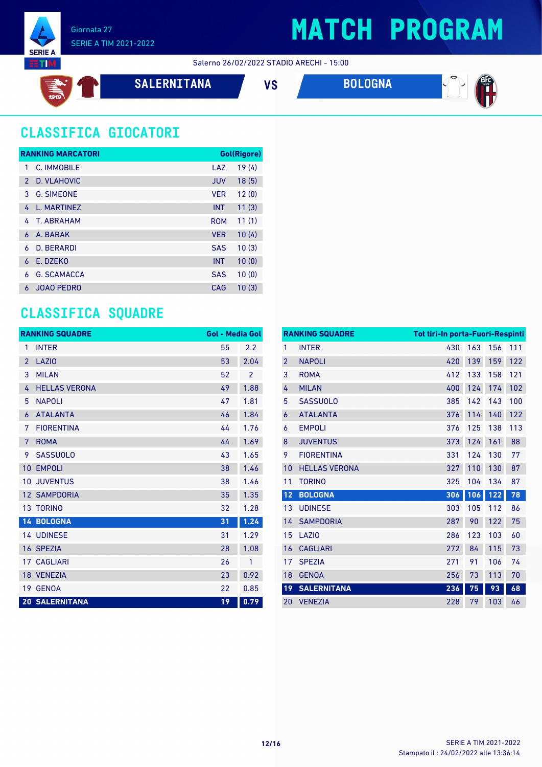

Salerno 26/02/2022 STADIO ARECHI - 15:00

$$
\mathbb{E} \left( \mathbf{0} \right)
$$

**SALERNITANA VS BOLOGNA**



### **CLASSIFICA GIOCATORI**

|               | <b>RANKING MARCATORI</b> |            | Gol(Rigore) |
|---------------|--------------------------|------------|-------------|
| 1             | C. IMMOBILE              | LAZ        | 19(4)       |
| $\mathcal{P}$ | D. VLAHOVIC              | <b>JUV</b> | 18(5)       |
| 3             | <b>G. SIMEONE</b>        | <b>VER</b> | 12(0)       |
| 4             | L. MARTINEZ              | <b>INT</b> | 11(3)       |
| 4             | T. ARRAHAM               | <b>ROM</b> | 11(1)       |
| 6             | A. BARAK                 | <b>VER</b> | 10(4)       |
| 6             | <b>D. BERARDI</b>        | <b>SAS</b> | 10(3)       |
| 6             | E. DZEKO                 | <b>INT</b> | 10(0)       |
| 6             | <b>G. SCAMACCA</b>       | <b>SAS</b> | 10(0)       |
| 6             | <b>JOAO PEDRO</b>        | CAG        | 10(3)       |

### **CLASSIFICA SQUADRE**

|                 | <b>RANKING SQUADRE</b> | <b>Gol - Media Gol</b> |                |
|-----------------|------------------------|------------------------|----------------|
| 1               | <b>INTER</b>           | 55                     | 2.2            |
| $\overline{2}$  | <b>LAZIO</b>           | 53                     | 2.04           |
| 3               | <b>MILAN</b>           | 52                     | $\overline{2}$ |
| 4               | <b>HELLAS VERONA</b>   | 49                     | 1.88           |
| 5               | <b>NAPOLI</b>          | 47                     | 1.81           |
| 6               | <b>ATALANTA</b>        | 46                     | 1.84           |
| 7               | <b>FIORENTINA</b>      | 44                     | 1.76           |
| 7               | <b>ROMA</b>            | 44                     | 1.69           |
| 9               | <b>SASSUOLO</b>        | 43                     | 1.65           |
| 10              | <b>EMPOLI</b>          | 38                     | 1.46           |
| 10              | <b>JUVENTUS</b>        | 38                     | 1.46           |
| 12 <sup>°</sup> | <b>SAMPDORIA</b>       | 35                     | 1.35           |
|                 | 13 TORINO              | 32                     | 1.28           |
|                 | 14 BOLOGNA             | 31                     | 1.24           |
|                 | <b>14 UDINESE</b>      | 31                     | 1.29           |
|                 | 16 SPEZIA              | 28                     | 1.08           |
|                 | <b>17 CAGLIARI</b>     | 26                     | 1              |
|                 | 18 VENEZIA             | 23                     | 0.92           |
| 19              | <b>GENOA</b>           | 22                     | 0.85           |
|                 | <b>20 SALERNITANA</b>  | 19                     | 0.79           |

|                | <b>RANKING SQUADRE</b> | <b>Tot tiri-In porta-Fuori-Respinti</b> |     |     |     |
|----------------|------------------------|-----------------------------------------|-----|-----|-----|
| 1              | <b>INTER</b>           | 430                                     | 163 | 156 | 111 |
| $\overline{2}$ | <b>NAPOLI</b>          | 420                                     | 139 | 159 | 122 |
| 3              | <b>ROMA</b>            | 412                                     | 133 | 158 | 121 |
| 4              | <b>MILAN</b>           | 400                                     | 124 | 174 | 102 |
| 5              | <b>SASSUOLO</b>        | 385                                     | 142 | 143 | 100 |
| 6              | <b>ATALANTA</b>        | 376                                     | 114 | 140 | 122 |
| 6              | <b>EMPOLI</b>          | 376                                     | 125 | 138 | 113 |
| 8              | <b>JUVENTUS</b>        | 373                                     | 124 | 161 | 88  |
| 9              | <b>FIORENTINA</b>      | 331                                     | 124 | 130 | 77  |
| 10             | <b>HELLAS VERONA</b>   | 327                                     | 110 | 130 | 87  |
| 11             | <b>TORINO</b>          | 325                                     | 104 | 134 | 87  |
| 12             | <b>BOLOGNA</b>         | 306                                     | 106 | 122 | 78  |
| 13             | <b>UDINESE</b>         | 303                                     | 105 | 112 | 86  |
| 14             | <b>SAMPDORIA</b>       | 287                                     | 90  | 122 | 75  |
| 15             | LAZI <sub>0</sub>      | 286                                     | 123 | 103 | 60  |
| 16             | <b>CAGLIARI</b>        | 272                                     | 84  | 115 | 73  |
| 17             | <b>SPEZIA</b>          | 271                                     | 91  | 106 | 74  |
| 18             | <b>GENOA</b>           | 256                                     | 73  | 113 | 70  |
| 19             | <b>SALERNITANA</b>     | 236                                     | 75  | 93  | 68  |
| 20             | <b>VENEZIA</b>         | 228                                     | 79  | 103 | 46  |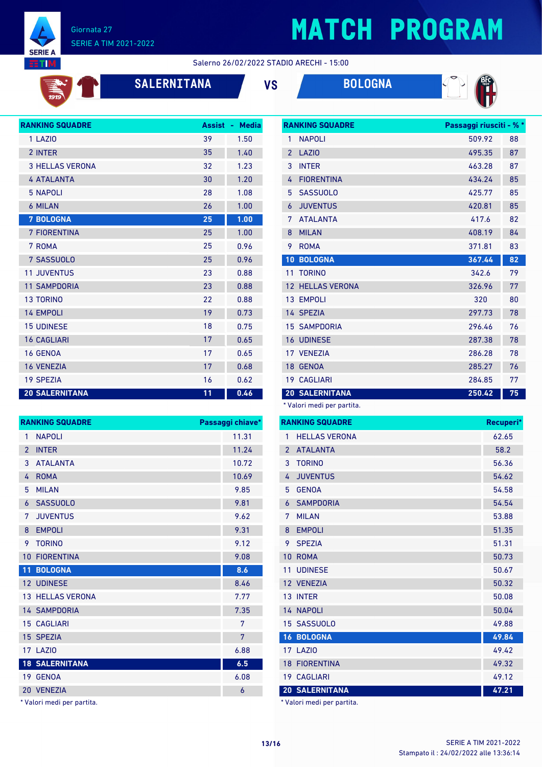

## **MATCH PROGRAM**

**RANKING SQUADRE Passaggi riusciti - % \***

Salerno 26/02/2022 STADIO ARECHI - 15:00

| 1919 |  |
|------|--|
|      |  |

### **SALERNITANA VS BOLOGNA**



| <b>RANKING SQUADRE</b> | <b>Assist</b> | <b>Media</b><br>a. |
|------------------------|---------------|--------------------|
| 1 LAZIO                | 39            | 1.50               |
| 2 INTER                | 35            | 1.40               |
| <b>3 HELLAS VERONA</b> | 32            | 1.23               |
| <b>4 ATALANTA</b>      | 30            | 1.20               |
| <b>5 NAPOLI</b>        | 28            | 1.08               |
| <b>6 MILAN</b>         | 26            | 1.00               |
| <b>7 BOLOGNA</b>       | 25            | 1.00               |
| 7 FIORENTINA           | 25            | 1.00               |
| 7 ROMA                 | 25            | 0.96               |
| 7 SASSUOLO             | 25            | 0.96               |
| <b>11 JUVENTUS</b>     | 23            | 0.88               |
| <b>11 SAMPDORIA</b>    | 23            | 0.88               |
| <b>13 TORINO</b>       | 22            | 0.88               |
| <b>14 EMPOLI</b>       | 19            | 0.73               |
| <b>15 UDINESE</b>      | 18            | 0.75               |
| <b>16 CAGLIARI</b>     | 17            | 0.65               |
| <b>16 GENOA</b>        | 17            | 0.65               |
| <b>16 VENEZIA</b>      | 17            | 0.68               |
| <b>19 SPEZIA</b>       | 16            | 0.62               |
| <b>20 SALERNITANA</b>  | 11            | 0.46               |

| 1              | <b>NAPOLI</b>        | 509.92 | 88 |
|----------------|----------------------|--------|----|
| $\overline{2}$ | LAZI <sub>0</sub>    | 495.35 | 87 |
| 3              | <b>INTER</b>         | 463.28 | 87 |
| 4              | <b>FIORENTINA</b>    | 434.24 | 85 |
| 5              | <b>SASSUOLO</b>      | 425.77 | 85 |
| 6              | <b>JUVENTUS</b>      | 420.81 | 85 |
| 7              | <b>ATALANTA</b>      | 417.6  | 82 |
| 8              | <b>MILAN</b>         | 408.19 | 84 |
| 9              | <b>ROMA</b>          | 371.81 | 83 |
| 10             | <b>BOLOGNA</b>       | 367.44 | 82 |
|                |                      |        |    |
| 11             | <b>TORINO</b>        | 342.6  | 79 |
| 12             | <b>HELLAS VERONA</b> | 326.96 | 77 |
| 13             | <b>EMPOLI</b>        | 320    | 80 |
| 14             | <b>SPEZIA</b>        | 297.73 | 78 |
|                | <b>15 SAMPDORIA</b>  | 296.46 | 76 |
| 16             | <b>UDINESE</b>       | 287.38 | 78 |
|                | 17 VENEZIA           | 286.28 | 78 |
| 18             | <b>GENOA</b>         | 285.27 | 76 |
|                | <b>19 CAGLIARI</b>   | 284.85 | 77 |

\* Valori medi per partita.

|                | <b>RANKING SQUADRE</b> | Recuperi* |
|----------------|------------------------|-----------|
| 1              | <b>HELLAS VERONA</b>   | 62.65     |
| $\overline{2}$ | <b>ATALANTA</b>        | 58.2      |
| 3              | <b>TORINO</b>          | 56.36     |
| 4              | <b>JUVENTUS</b>        | 54.62     |
| 5              | <b>GENOA</b>           | 54.58     |
| 6              | <b>SAMPDORIA</b>       | 54.54     |
| 7              | <b>MII AN</b>          | 53.88     |
| 8              | <b>EMPOLI</b>          | 51.35     |
| 9              | <b>SPEZIA</b>          | 51.31     |
| 10             | <b>ROMA</b>            | 50.73     |
| 11             | <b>UDINESE</b>         | 50.67     |
| 12             | <b>VENEZIA</b>         | 50.32     |
| 13             | <b>INTER</b>           | 50.08     |
|                | 14 NAPOLI              | 50.04     |
|                | 15 SASSUOLO            | 49.88     |
| 16             | <b>BOLOGNA</b>         | 49.84     |
| 17             | LAZI <sub>0</sub>      | 49.42     |
| 18             | <b>FIORENTINA</b>      | 49.32     |
| 19             | <b>CAGLIARI</b>        | 49.12     |
|                | <b>20 SALERNITANA</b>  | 47.21     |

\* Valori medi per partita.

| 1              | <b>NAPOLI</b>           | 11.31 |
|----------------|-------------------------|-------|
| $\overline{2}$ | <b>INTER</b>            | 11.24 |
| 3              | <b>ATALANTA</b>         | 10.72 |
| 4              | <b>ROMA</b>             | 10.69 |
| 5              | <b>MILAN</b>            | 9.85  |
| 6              | <b>SASSUOLO</b>         | 9.81  |
| 7              | <b>JUVENTUS</b>         | 9.62  |
| 8              | <b>EMPOLI</b>           | 9.31  |
| 9              | <b>TORINO</b>           | 9.12  |
| 10             | <b>FIORENTINA</b>       | 9.08  |
|                |                         |       |
| 11             | <b>BOLOGNA</b>          | 8.6   |
|                | 12 UDINESE              | 8.46  |
|                | <b>13 HELLAS VERONA</b> | 7.77  |
|                | <b>14 SAMPDORIA</b>     | 7.35  |
|                | <b>15 CAGLIARI</b>      | 7     |
| 15             | <b>SPEZIA</b>           | 7     |
| 17             | LAZIO                   | 6.88  |
|                | <b>18 SALERNITANA</b>   | 6.5   |
|                | 19 GENOA                | 6.08  |
| 20             | <b>VENEZIA</b>          | 6     |

**RANKING SQUADRE Passaggi chiave\***

\* Valori medi per partita.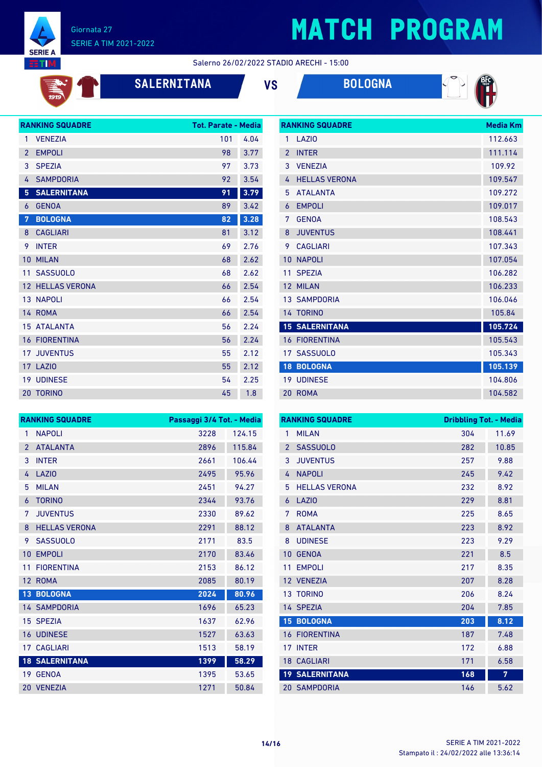

# **MATCH PROGRAM**

#### Salerno 26/02/2022 STADIO ARECHI - 15:00

| 1919 |  |
|------|--|

**SALERNITANA VS BOLOGNA**

**RANKING SQUADRE Media Km**



| <b>RANKING SQUADRE</b> | <b>Tot. Parate - Media</b>                                                                                                                        |      |
|------------------------|---------------------------------------------------------------------------------------------------------------------------------------------------|------|
| <b>VENEZIA</b>         | 101                                                                                                                                               | 4.04 |
| <b>EMPOLI</b>          | 98                                                                                                                                                | 3.77 |
| <b>SPEZIA</b>          | 97                                                                                                                                                | 3.73 |
| <b>SAMPDORIA</b>       | 92                                                                                                                                                | 3.54 |
| <b>SALERNITANA</b>     | 91                                                                                                                                                | 3.79 |
| <b>GENOA</b>           | 89                                                                                                                                                | 3.42 |
| <b>BOLOGNA</b>         | 82                                                                                                                                                | 3.28 |
| <b>CAGLIARI</b>        | 81                                                                                                                                                | 3.12 |
| <b>INTER</b>           | 69                                                                                                                                                | 2.76 |
| <b>MILAN</b>           | 68                                                                                                                                                | 2.62 |
| <b>SASSUOLO</b>        | 68                                                                                                                                                | 2.62 |
|                        | 66                                                                                                                                                | 2.54 |
|                        | 66                                                                                                                                                | 2.54 |
|                        | 66                                                                                                                                                | 2.54 |
| <b>ATALANTA</b>        | 56                                                                                                                                                | 2.24 |
|                        | 56                                                                                                                                                | 2.24 |
|                        | 55                                                                                                                                                | 2.12 |
|                        | 55                                                                                                                                                | 2.12 |
|                        | 54                                                                                                                                                | 2.25 |
| <b>TORINO</b>          | 45                                                                                                                                                | 1.8  |
|                        | <b>12 HELLAS VERONA</b><br>13 NAPOLI<br>14 ROMA<br>15 <sup>1</sup><br><b>16 FIORENTINA</b><br><b>17 JUVENTUS</b><br>17 LAZIO<br><b>19 UDINESE</b> |      |

|                | www.communication     | PICUR INII |
|----------------|-----------------------|------------|
| 1              | LAZIO                 | 112.663    |
| $\overline{2}$ | <b>INTER</b>          | 111.114    |
| 3              | <b>VENEZIA</b>        | 109.92     |
| 4              | <b>HELLAS VERONA</b>  | 109.547    |
| 5              | <b>ATALANTA</b>       | 109.272    |
| $\overline{6}$ | <b>EMPOLI</b>         | 109.017    |
| 7              | <b>GENOA</b>          | 108.543    |
| 8              | <b>JUVENTUS</b>       | 108.441    |
| 9              | <b>CAGLIARI</b>       | 107.343    |
| 10             | <b>NAPOLI</b>         | 107.054    |
| 11             | <b>SPEZIA</b>         | 106.282    |
| 12             | <b>MILAN</b>          | 106.233    |
|                | <b>13 SAMPDORIA</b>   | 106.046    |
|                | 14 TORINO             | 105.84     |
|                | <b>15 SALERNITANA</b> | 105.724    |
| 16             | <b>FIORENTINA</b>     | 105.543    |
|                | 17 SASSUOLO           | 105.343    |
| 18             | <b>BOLOGNA</b>        | 105.139    |
| 19             | <b>UDINESE</b>        | 104.806    |
| 20             | <b>ROMA</b>           | 104.582    |

|                 | <b>RANKING SQUADRE</b> | Passaggi 3/4 Tot. - Media |        |
|-----------------|------------------------|---------------------------|--------|
| 1               | <b>NAPOLI</b>          | 3228                      | 124.15 |
| $\overline{2}$  | <b>ATALANTA</b>        | 2896                      | 115.84 |
| 3               | <b>INTER</b>           | 2661                      | 106.44 |
| 4               | <b>LAZIO</b>           | 2495                      | 95.96  |
| 5               | <b>MILAN</b>           | 2451                      | 94.27  |
| 6               | <b>TORINO</b>          | 2344                      | 93.76  |
| 7               | <b>JUVENTUS</b>        | 2330                      | 89.62  |
| 8               | <b>HELLAS VERONA</b>   | 2291                      | 88.12  |
| 9               | <b>SASSUOLO</b>        | 2171                      | 83.5   |
| 10              | <b>EMPOLI</b>          | 2170                      | 83.46  |
| 11              | <b>FIORENTINA</b>      | 2153                      | 86.12  |
|                 | 12 ROMA                | 2085                      | 80.19  |
| 13 <sup>°</sup> | <b>BOLOGNA</b>         | 2024                      | 80.96  |
|                 | <b>14 SAMPDORIA</b>    | 1696                      | 65.23  |
|                 | 15 SPEZIA              | 1637                      | 62.96  |
|                 | <b>16 UDINESE</b>      | 1527                      | 63.63  |
|                 | <b>17 CAGLIARI</b>     | 1513                      | 58.19  |
|                 | <b>18 SALERNITANA</b>  | 1399                      | 58.29  |
|                 | 19 GENOA               | 1395                      | 53.65  |
| 20              | <b>VENEZIA</b>         | 1271                      | 50.84  |

| <b>RANKING SQUADRE</b> |                       | <b>Dribbling Tot. - Media</b> |       |
|------------------------|-----------------------|-------------------------------|-------|
| 1                      | <b>MILAN</b>          | 304                           | 11.69 |
| $\overline{2}$         | <b>SASSUOLO</b>       | 282                           | 10.85 |
| 3                      | <b>JUVENTUS</b>       | 257                           | 9.88  |
| 4                      | <b>NAPOLI</b>         | 245                           | 9.42  |
| 5                      | <b>HELLAS VERONA</b>  | 232                           | 8.92  |
| 6                      | LAZI <sub>0</sub>     | 229                           | 8.81  |
| 7                      | <b>ROMA</b>           | 225                           | 8.65  |
| 8                      | <b>ATALANTA</b>       | 223                           | 8.92  |
| 8                      | <b>UDINESE</b>        | 223                           | 9.29  |
| 10                     | <b>GENOA</b>          | 221                           | 8.5   |
| 11                     | <b>EMPOLI</b>         | 217                           | 8.35  |
|                        | 12 VENEZIA            | 207                           | 8.28  |
| 13 <sup>°</sup>        | <b>TORINO</b>         | 206                           | 8.24  |
|                        | 14 SPEZIA             | 204                           | 7.85  |
| 15 <sup>1</sup>        | <b>BOLOGNA</b>        | 203                           | 8.12  |
|                        | <b>16 FIORENTINA</b>  | 187                           | 7.48  |
| 17                     | <b>INTER</b>          | 172                           | 6.88  |
| 18                     | <b>CAGLIARI</b>       | 171                           | 6.58  |
|                        | <b>19 SALERNITANA</b> | 168                           | 7     |
|                        | <b>20 SAMPDORIA</b>   | 146                           | 5.62  |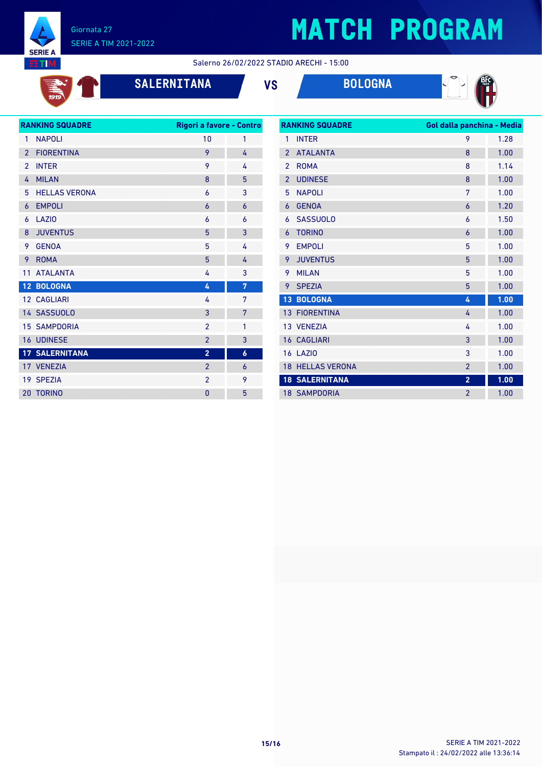

# **MATCH PROGRAM**

Salerno 26/02/2022 STADIO ARECHI - 15:00

 $\overrightarrow{131}$ 

### **SALERNITANA VS BOLOGNA**



| <b>RANKING SQUADRE</b> |                       | Rigori a favore - Contro |                  |  |
|------------------------|-----------------------|--------------------------|------------------|--|
| 1                      | <b>NAPOLI</b>         | 10                       | 1                |  |
| $\overline{2}$         | <b>FIORENTINA</b>     | 9                        | 4                |  |
| $\overline{2}$         | <b>INTER</b>          | 9                        | 4                |  |
| 4                      | <b>MILAN</b>          | 8                        | 5                |  |
| 5                      | <b>HELLAS VERONA</b>  | 6                        | 3                |  |
| 6                      | <b>EMPOLI</b>         | 6                        | $\overline{6}$   |  |
| 6                      | LAZI <sub>0</sub>     | 6                        | 6                |  |
| 8                      | <b>JUVENTUS</b>       | 5                        | 3                |  |
| 9                      | <b>GENOA</b>          | 5                        | 4                |  |
| 9                      | <b>ROMA</b>           | 5                        | 4                |  |
| 11                     | <b>ATALANTA</b>       | 4                        | 3                |  |
|                        | 12 BOLOGNA            | 4                        | 7                |  |
|                        | 12 CAGLIARI           | 4                        | 7                |  |
|                        | 14 SASSUOLO           | 3                        | 7                |  |
|                        | <b>15 SAMPDORIA</b>   | $\overline{2}$           | 1                |  |
|                        | 16 UDINESE            | $\overline{2}$           | 3                |  |
|                        | <b>17 SALERNITANA</b> | $\overline{2}$           | $\boldsymbol{6}$ |  |
|                        | 17 VENEZIA            | $\overline{2}$           | 6                |  |
|                        | 19 SPEZIA             | $\overline{2}$           | 9                |  |
| 20                     | <b>TORINO</b>         | $\overline{0}$           | 5                |  |
|                        |                       |                          |                  |  |

| <b>RANKING SQUADRE</b> |                         | Gol dalla panchina - Media |      |
|------------------------|-------------------------|----------------------------|------|
| 1                      | <b>INTER</b>            | 9                          | 1.28 |
| $\overline{2}$         | <b>ATALANTA</b>         | 8                          | 1.00 |
| $\overline{2}$         | <b>ROMA</b>             | 8                          | 1.14 |
| $\overline{2}$         | <b>UDINESE</b>          | 8                          | 1.00 |
| 5                      | <b>NAPOLI</b>           | 7                          | 1.00 |
| 6                      | <b>GENOA</b>            | 6                          | 1.20 |
| 6                      | <b>SASSUOLO</b>         | 6                          | 1.50 |
| 6                      | <b>TORINO</b>           | 6                          | 1.00 |
| 9                      | <b>EMPOLI</b>           | 5                          | 1.00 |
| 9                      | <b>JUVENTUS</b>         | 5                          | 1.00 |
| 9                      | <b>MILAN</b>            | 5                          | 1.00 |
| 9                      | <b>SPEZIA</b>           | 5                          | 1.00 |
| 13                     | <b>BOLOGNA</b>          | 4                          | 1.00 |
| 13                     | <b>FIORENTINA</b>       | 4                          | 1.00 |
|                        | 13 VENEZIA              | 4                          | 1.00 |
| 16                     | <b>CAGLIARI</b>         | 3                          | 1.00 |
|                        | <b>16 LAZIO</b>         | 3                          | 1.00 |
|                        | <b>18 HELLAS VERONA</b> | $\overline{2}$             | 1.00 |
|                        | <b>18 SALERNITANA</b>   | $\overline{2}$             | 1.00 |
|                        | <b>18 SAMPDORIA</b>     | $\overline{2}$             | 1.00 |